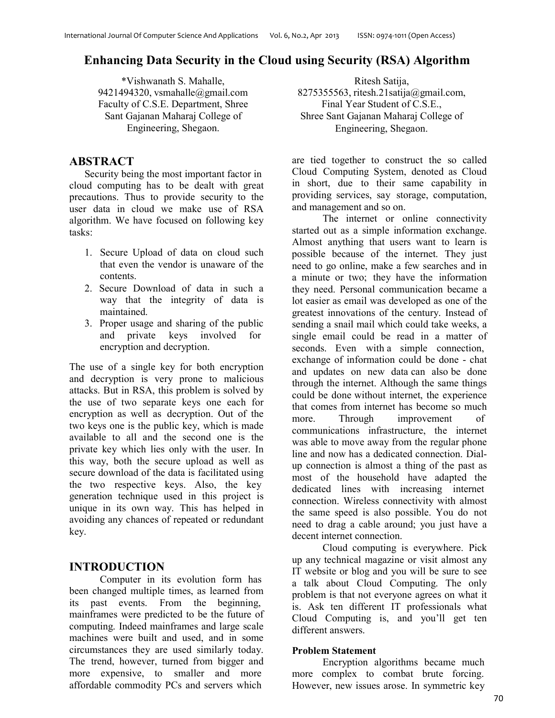# **Enhancing Data Security in the Cloud using Security (RSA) Algorithm**

\*Vishwanath S. Mahalle, 9421494320, vsmahalle@gmail.com Faculty of C.S.E. Department, Shree Sant Gajanan Maharaj College of Engineering, Shegaon.

# **ABSTRACT**

Security being the most important factor in cloud computing has to be dealt with great precautions. Thus to provide security to the user data in cloud we make use of RSA algorithm. We have focused on following key tasks:

- 1. Secure Upload of data on cloud such that even the vendor is unaware of the contents.
- 2. Secure Download of data in such a way that the integrity of data is maintained.
- 3. Proper usage and sharing of the public and private keys involved for encryption and decryption.

The use of a single key for both encryption and decryption is very prone to malicious attacks. But in RSA, this problem is solved by the use of two separate keys one each for encryption as well as decryption. Out of the two keys one is the public key, which is made available to all and the second one is the private key which lies only with the user. In this way, both the secure upload as well as secure download of the data is facilitated using the two respective keys. Also, the key generation technique used in this project is unique in its own way. This has helped in avoiding any chances of repeated or redundant key.

# **INTRODUCTION**

Computer in its evolution form has been changed multiple times, as learned from its past events. From the beginning, mainframes were predicted to be the future of computing. Indeed mainframes and large scale machines were built and used, and in some circumstances they are used similarly today. The trend, however, turned from bigger and more expensive, to smaller and more affordable commodity PCs and servers which

Ritesh Satija, 8275355563, ritesh.21satija@gmail.com, Final Year Student of C.S.E., Shree Sant Gajanan Maharaj College of Engineering, Shegaon.

are tied together to construct the so called Cloud Computing System, denoted as Cloud in short, due to their same capability in providing services, say storage, computation, and management and so on.

The internet or online connectivity started out as a simple information exchange. Almost anything that users want to learn is possible because of the internet. They just need to go online, make a few searches and in a minute or two; they have the information they need. Personal communication became a lot easier as email was developed as one of the greatest innovations of the century. Instead of sending a snail mail which could take weeks, a single email could be read in a matter of seconds. Even with a simple connection, exchange of information could be done - chat and updates on new data can also be done through the internet. Although the same things could be done without internet, the experience that comes from internet has become so much more. Through improvement of communications infrastructure, the internet was able to move away from the regular phone line and now has a dedicated connection. Dialup connection is almost a thing of the past as most of the household have adapted the dedicated lines with increasing internet connection. Wireless connectivity with almost the same speed is also possible. You do not need to drag a cable around; you just have a decent internet connection.

Cloud computing is everywhere. Pick up any technical magazine or visit almost any IT website or blog and you will be sure to see a talk about Cloud Computing. The only problem is that not everyone agrees on what it is. Ask ten different IT professionals what Cloud Computing is, and you'll get ten different answers.

### **Problem Statement**

Encryption algorithms became much more complex to combat brute forcing. However, new issues arose. In symmetric key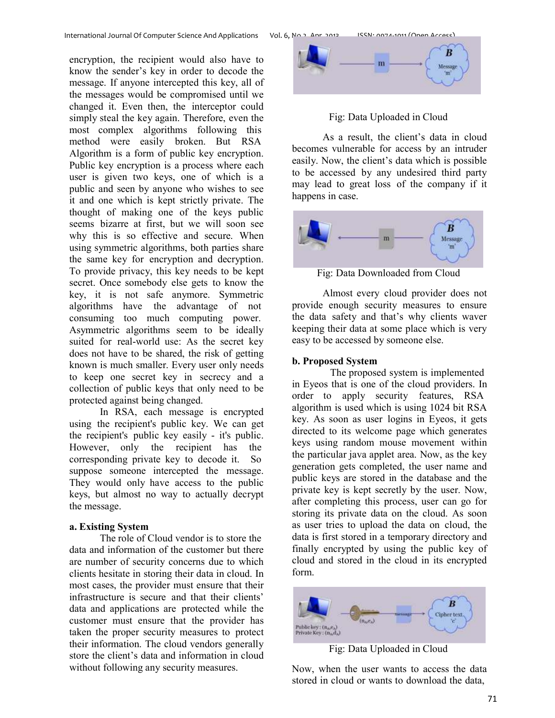encryption, the recipient would also have to know the sender's key in order to decode the message. If anyone intercepted this key, all of the messages would be compromised until we changed it. Even then, the interceptor could simply steal the key again. Therefore, even the most complex algorithms following this method were easily broken. But RSA Algorithm is a form of public key encryption. Public key encryption is a process where each user is given two keys, one of which is a public and seen by anyone who wishes to see it and one which is kept strictly private. The thought of making one of the keys public seems bizarre at first, but we will soon see why this is so effective and secure. When using symmetric algorithms, both parties share the same key for encryption and decryption. To provide privacy, this key needs to be kept secret. Once somebody else gets to know the key, it is not safe anymore. Symmetric algorithms have the advantage of not consuming too much computing power. Asymmetric algorithms seem to be ideally suited for real-world use: As the secret key does not have to be shared, the risk of getting known is much smaller. Every user only needs to keep one secret key in secrecy and a collection of public keys that only need to be protected against being changed.

In RSA, each message is encrypted using the recipient's public key. We can get the recipient's public key easily - it's public. However, only the recipient has the corresponding private key to decode it. So suppose someone intercepted the message. They would only have access to the public keys, but almost no way to actually decrypt the message.

#### **a. Existing System**

The role of Cloud vendor is to store the data and information of the customer but there are number of security concerns due to which clients hesitate in storing their data in cloud. In most cases, the provider must ensure that their infrastructure is secure and that their clients' data and applications are protected while the customer must ensure that the provider has taken the proper security measures to protect their information. The cloud vendors generally store the client's data and information in cloud without following any security measures.



Fig: Data Uploaded in Cloud

As a result, the client's data in cloud becomes vulnerable for access by an intruder easily. Now, the client's data which is possible to be accessed by any undesired third party may lead to great loss of the company if it happens in case.



Fig: Data Downloaded from Cloud

Almost every cloud provider does not provide enough security measures to ensure the data safety and that's why clients waver keeping their data at some place which is very easy to be accessed by someone else.

### **b. Proposed System**

The proposed system is implemented in Eyeos that is one of the cloud providers. In order to apply security features, RSA algorithm is used which is using 1024 bit RSA key. As soon as user logins in Eyeos, it gets directed to its welcome page which generates keys using random mouse movement within the particular java applet area. Now, as the key generation gets completed, the user name and public keys are stored in the database and the private key is kept secretly by the user. Now, after completing this process, user can go for storing its private data on the cloud. As soon as user tries to upload the data on cloud, the data is first stored in a temporary directory and finally encrypted by using the public key of cloud and stored in the cloud in its encrypted form.



Fig: Data Uploaded in Cloud

Now, when the user wants to access the data stored in cloud or wants to download the data,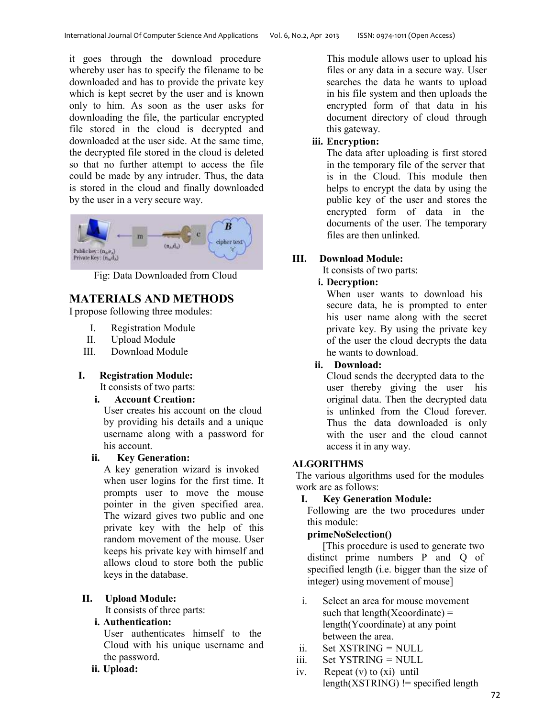it goes through the download procedure whereby user has to specify the filename to be downloaded and has to provide the private key which is kept secret by the user and is known only to him. As soon as the user asks for downloading the file, the particular encrypted file stored in the cloud is decrypted and downloaded at the user side. At the same time, the decrypted file stored in the cloud is deleted so that no further attempt to access the file could be made by any intruder. Thus, the data is stored in the cloud and finally downloaded by the user in a very secure way.



Fig: Data Downloaded from Cloud

# **MATERIALS AND METHODS**

I propose following three modules:

- I. Registration Module
- II. Upload Module
- III. Download Module

## **I. Registration Module:**

It consists of two parts:

**i. Account Creation:**

User creates his account on the cloud by providing his details and a unique username along with a password for his account.

### **ii. Key Generation:**

A key generation wizard is invoked when user logins for the first time. It prompts user to move the mouse pointer in the given specified area. The wizard gives two public and one private key with the help of this random movement of the mouse. User keeps his private key with himself and allows cloud to store both the public keys in the database.

### **II. Upload Module:**

It consists of three parts:

### **i. Authentication:**

User authenticates himself to the Cloud with his unique username and the password.

#### **ii. Upload:**

This module allows user to upload his files or any data in a secure way. User searches the data he wants to upload in his file system and then uploads the encrypted form of that data in his document directory of cloud through this gateway.

## **iii. Encryption:**

The data after uploading is first stored in the temporary file of the server that is in the Cloud. This module then helps to encrypt the data by using the public key of the user and stores the encrypted form of data in the documents of the user. The temporary files are then unlinked.

## **III. Download Module:**

It consists of two parts:

## **i. Decryption:**

When user wants to download his secure data, he is prompted to enter his user name along with the secret private key. By using the private key of the user the cloud decrypts the data he wants to download.

**ii. Download:**

Cloud sends the decrypted data to the user thereby giving the user his original data. Then the decrypted data is unlinked from the Cloud forever. Thus the data downloaded is only with the user and the cloud cannot access it in any way.

## **ALGORITHMS**

The various algorithms used for the modules work are as follows:

### **I. Key Generation Module:**

Following are the two procedures under this module:

### **primeNoSelection()**

[This procedure is used to generate two distinct prime numbers P and Q of specified length (i.e. bigger than the size of integer) using movement of mouse]

- i. Select an area for mouse movement such that  $length(Xcoordinate) =$ length(Ycoordinate) at any point between the area.
- ii. Set XSTRING = NULL
- iii. Set YSTRING = NULL
- iv. Repeat (v) to (xi) until  $length(XSTRING)$  != specified length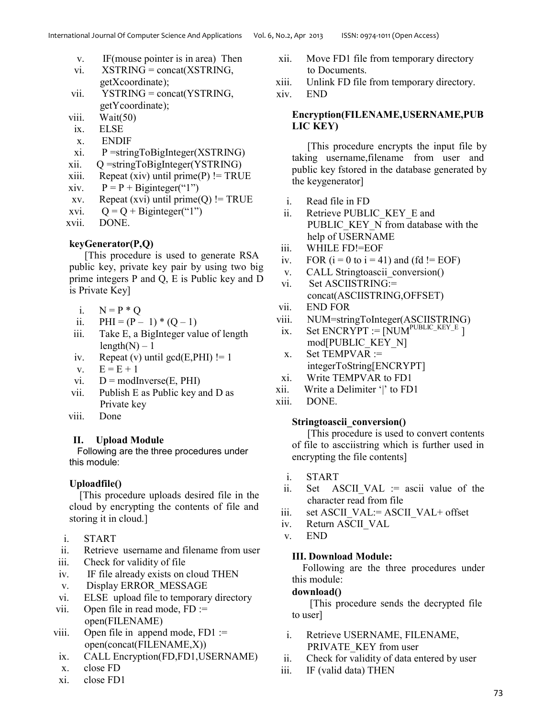- v. IF(mouse pointer is in area) Then
- vi. XSTRING = concat(XSTRING, getXcoordinate);
- vii. YSTRING = concat(YSTRING, getYcoordinate);
- viii. Wait(50)
- ix. ELSE
- x. ENDIF
- xi. P =stringToBigInteger(XSTRING)
- xii. Q =stringToBigInteger(YSTRING)
- $xiii.$  Repeat (xiv) until prime(P) != TRUE
- xiv.  $P = P + B$ iginteger("1")
- xv. Repeat (xvi) until prime(Q) != TRUE
- xvi.  $Q = Q + B$ iginteger("1")
- xvii. DONE.

### **keyGenerator(P,Q)**

[This procedure is used to generate RSA public key, private key pair by using two big prime integers P and Q, E is Public key and D is Private Key]

- i.  $N = P * O$
- ii.  $PHI = (P 1) * (Q 1)$
- iii. Take E, a BigInteger value of length  $length(N) - 1$
- iv. Repeat (v) until  $gcd(E, PHI)$ != 1
- $v. \tE = E + 1$
- vi.  $D = \text{modInverse}(E, PHI)$
- vii. Publish E as Public key and D as Private key
- viii. Done

### **II. Upload Module**

Following are the three procedures under this module:

### **Uploadfile()**

[This procedure uploads desired file in the cloud by encrypting the contents of file and storing it in cloud.]

- i. START
- ii. Retrieve username and filename from user
- iii. Check for validity of file
- iv. IF file already exists on cloud THEN
- v. Display ERROR\_MESSAGE
- vi. ELSE upload file to temporary directory
- vii. Open file in read mode,  $FD :=$ open(FILENAME)
- viii. Open file in append mode,  $FD1 :=$ open(concat(FILENAME,X))
- ix. CALL Encryption(FD,FD1,USERNAME)
- x. close FD
- xi. close FD1
- xii. Move FD1 file from temporary directory to Documents.
- xiii. Unlink FD file from temporary directory.

xiv. END

#### **Encryption(FILENAME,USERNAME,PUB LIC KEY)**

[This procedure encrypts the input file by taking username,filename from user and public key fstored in the database generated by the keygenerator]

- i. Read file in FD
- ii. Retrieve PUBLIC KEY E and PUBLIC KEY N from database with the help of USERNAME
- iii. WHILE FD!=EOF
- iv. FOR  $(i = 0$  to  $i = 41$ ) and  $(fd == EOF)$
- v. CALL Stringtoascii conversion()
- vi. Set ASCIISTRING:= concat(ASCIISTRING,OFFSET)
- vii. END FOR
- viii. NUM=stringToInteger(ASCIISTRING)
- ix. Set ENCRYPT  $:=$  [NUM<sup>PUBLIC\_KEY\_E</sup> ] mod[PUBLIC\_KEY\_N]
- x. Set TEMPVAR := integerToString[ENCRYPT]
- xi. Write TEMPVAR to FD1
- xii. Write a Delimiter '|' to FD1
- xiii. DONE.

### **Stringtoascii\_conversion()**

[This procedure is used to convert contents of file to ascciistring which is further used in encrypting the file contents]

- i. START
- ii. Set ASCII VAL := ascii value of the character read from file
- iii. set ASCII\_VAL:= ASCII\_VAL+ offset
- iv. Return ASCII\_VAL
- v. END

### **III. Download Module:**

Following are the three procedures under this module:

#### **download()**

[This procedure sends the decrypted file to user]

- i. Retrieve USERNAME, FILENAME, PRIVATE\_KEY from user
- ii. Check for validity of data entered by user
- iii. IF (valid data) THEN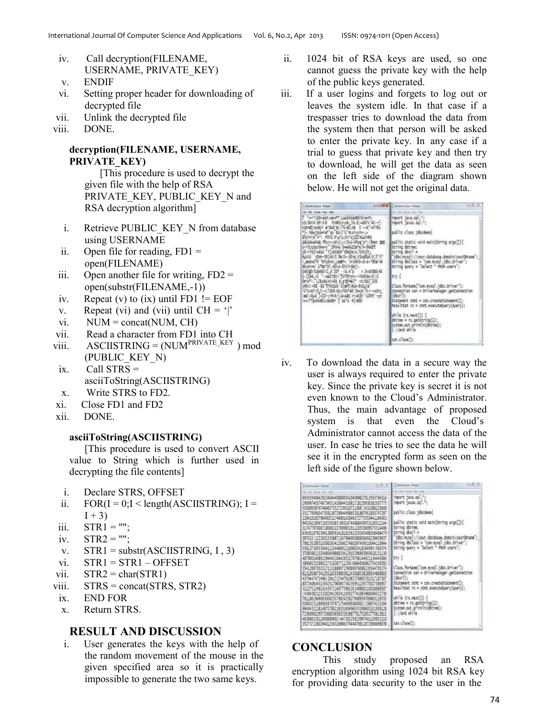- iv. Call decryption(FILENAME, USERNAME, PRIVATE\_KEY)
- v. ENDIF
- vi. Setting proper header for downloading of decrypted file
- vii. Unlink the decrypted file
- viii. DONE.

#### **decryption(FILENAME, USERNAME, PRIVATE\_KEY)**

[This procedure is used to decrypt the given file with the help of RSA PRIVATE\_KEY, PUBLIC\_KEY\_N and RSA decryption algorithm]

- i. Retrieve PUBLIC KEY N from database using USERNAME
- ii. Open file for reading,  $FD1 =$ open(FILENAME)
- iii. Open another file for writing,  $FD2 =$ open(substr(FILENAME,-1))
- iv. Repeat (v) to (ix) until FD1  $!=$  EOF
- v. Repeat (vi) and (vii) until  $CH = '$
- vi.  $NUM = concat(NUM, CH)$
- vii. Read a character from FD1 into CH
- viii.  $\triangle$  ASCIISTRING = (NUM<sup>PRIVATE\_KEY</sup>) mod (PUBLIC\_KEY\_N)
- ix. Call STRS = asciiToString(ASCIISTRING)
- x. Write STRS to FD2.
- xi. Close FD1 and FD2
- xii. DONE.

#### **asciiToString(ASCIISTRING)**

[This procedure is used to convert ASCII value to String which is further used in decrypting the file contents]

- i. Declare STRS, OFFSET
- ii.  $FOR(I = 0; I < length(ASCIISTRING); I =$  $I + 3$
- $iii.$   $STR1 = ""$ ;
- iv.  $STR2 = "";$
- v.  $STR1 = substr(ASCIISTRING, I, 3)$
- $vi.$   $STR1 = STR1 OFFSET$
- vii.  $STR2 = char(STR1)$
- viii.  $STRS = concat(STRS, STR2)$
- ix. END FOR
- x. Return STRS.

### **RESULT AND DISCUSSION**

i. User generates the keys with the help of the random movement of the mouse in the given specified area so it is practically impossible to generate the two same keys.

- ii. 1024 bit of RSA keys are used, so one cannot guess the private key with the help of the public keys generated.
- iii. If a user logins and forgets to log out or leaves the system idle. In that case if a trespasser tries to download the data from the system then that person will be asked to enter the private key. In any case if a trial to guess that private key and then try to download, he will get the data as seen on the left side of the diagram shown below. He will not get the original data.

| desire Des-Read                                                                                                                                                                                                                                                                                                                                                                                                                                                                                                                                                                                                                                                                                                                                                                                                                              | <b>BET</b><br><b>Gillette I mandial block</b>                                                                                                                                                                                                                                                                                                                                                                                                                                                                                                                                                                                        |
|----------------------------------------------------------------------------------------------------------------------------------------------------------------------------------------------------------------------------------------------------------------------------------------------------------------------------------------------------------------------------------------------------------------------------------------------------------------------------------------------------------------------------------------------------------------------------------------------------------------------------------------------------------------------------------------------------------------------------------------------------------------------------------------------------------------------------------------------|--------------------------------------------------------------------------------------------------------------------------------------------------------------------------------------------------------------------------------------------------------------------------------------------------------------------------------------------------------------------------------------------------------------------------------------------------------------------------------------------------------------------------------------------------------------------------------------------------------------------------------------|
| Fix Edit Formst View Hall                                                                                                                                                                                                                                                                                                                                                                                                                                                                                                                                                                                                                                                                                                                                                                                                                    |                                                                                                                                                                                                                                                                                                                                                                                                                                                                                                                                                                                                                                      |
| P "r+1"1Sb+aa#;eevPT LaastAaHBBYWe+Px<br>c5:001#.EF-3-0 %YORVY-yd- 1G.E;>601V'AC--[-<br>HOMELIGHEIT & DIGTE TO AS USE I - ULTIMITEK<br>"]- houldardal" to Ear) "I'Mariny for ><br>EP/YWW W : FOTL'FL: U.S. STZZ/ALaYMET<br>adulalindras, főres-yöl (1) el Isuirildeg'a"; idean gag<br>U+"g)cog10havy" ZFona Dneel ZZm"k/%-9AoE1<br>voir roftwazw "flicht hof" odgår (d) Totwzt;<br>RAUJO tOM-3R305.% bei D->sone.tSmootd-D.3"Y?<br>1,8085079 "BYCOVA JUBEF+, "A-UAYO<10-1-"908" et<br>Abdine u Bo 21_40xx-Encit2ei\-<br>906805000012人100 - 12.5 o r.54030646<br>0-[20e.40 * +aa2+Et<"f0T0Pyrrx:+10A6dx;6;1}<br>On w .: LZEydu3ri-Ba b pitres2 - 0:885 2UX<br>vikó a: «BE"-Ea" fitkcauk "EliaRfi koa-BXILu )e<br>UNIVERSIS ; 7818-0c-1940-06 David Grounding<br>at qui inti-trivitizione nicoli uoni -y:<br>Hack?TRudubD1<58ED- f ad"u 4(1800 | hmoort java.sol.*;<br>import javax.sql.";<br>public class jacdeno<br>sublic static void main(String args) ) {<br>String dotine;<br>String dour   =<br>"idoc:mysql://your.database.domain/yourDBname";<br>string doclass = "com.mysql.jdbc.Driver";<br>String query = "Select " FROM users";<br>ltri i<br>Class.forKane("con.mysql.jdbc.Driver");<br>Connection con = DriverManager.getConnection<br>(dour 1):<br>Statement stmt = con.createStatement[];<br>ResultSet rs = stmt.executeOuerv(querv);<br>$width($ $($ $s.next() )$<br>$m$ tine = rs.getString $(1)$ ;<br>System.out.println(dotime);<br>1 //end while<br>con.clase(); |

iv. To download the data in a secure way the user is always required to enter the private key. Since the private key is secret it is not even known to the Cloud's Administrator. Thus, the main advantage of proposed system is that even the Cloud's Administrator cannot access the data of the user. In case he tries to see the data he will see it in the encrypted form as seen on the left side of the figure shown below.

| <b>Jildware Steel</b>                             | $= 8.0$ | <b>Editorial Many</b>                           |  |
|---------------------------------------------------|---------|-------------------------------------------------|--|
|                                                   |         |                                                 |  |
| 66359340642925404440689054194099627813593794316   |         | inport java.sql.";                              |  |
| 29099740374673455142684431681718220938382507775   |         | 1000Ft 18V81.50 .*;                             |  |
| 55009938747464657552723931972136812431088225609   |         |                                                 |  |
| 33177856654735813872944448865281867951803747297   |         | public class idocdento                          |  |
| 22941919579840053174690142646372775550441394563   |         |                                                 |  |
| 94526219567192530383189314744888459553130312144   |         | public static void main(String args[])[         |  |
| 31747797008718068322769965191120533809575514496   |         | String doting:                                  |  |
| 63426107923941389591418181561320245498506486470   |         | String dour] =                                  |  |
| 997015 1222831533867134799495088930458239635637   |         | "jabc:nysql://your.database.domain/yourDBrane"; |  |
| 79813528831030676341358627460257459510044110944   |         | String doClass = "com.mssql.jdbc.briver":       |  |
| 55613719553044113244690121808074182849931560374   |         | String query = "Select = FROM users":           |  |
| 1708566111720480409868114129152969019993618131190 |         |                                                 |  |
| 45790014089129448210442832176796144921134443084   |         | tri i                                           |  |
| 389065252588022731926771125616864836862754338392  |         |                                                 |  |
| 35412897032517113188907239089076086228344705274   |         | Class.forName("com.mysel.jdbc.Driver");         |  |
| 81318588734135518355990361243588538289554889803   |         | Connection con = DriverManager.cetConnection    |  |
| 43794474724961204171744791067276805781317187307   |         | $(\text{dust})$ :                               |  |
| 80724063431954231706095734235951259770027580957   |         | Statement stmt = con.createStatement();         |  |
| 3122751249001435721407759813524886021001888858    |         | ResultSet rs = stmt.executeOuery(query);        |  |
| 4984382122328204138241193027741055958046522730    |         |                                                 |  |
| 76118629490930002557992425827908959789863119705   |         | while (rs.next()) {                             |  |
| 50903231268905870797175440958600021236874315284   |         | datine = rs.setString(1);                       |  |
| 95404322181487578821993160496553305603151958128   |         | System.out.printin(dbtine);                     |  |
| 72960902295720680365825263867261752652770613815   |         | Hend while                                      |  |
| 8386632011900689902 44726215923997491159852210    |         |                                                 |  |
| 35273719802940125831696637944878912872666699039   |         | con.close():                                    |  |

## **CONCLUSION**

This study proposed an RSA encryption algorithm using 1024 bit RSA key for providing data security to the user in the